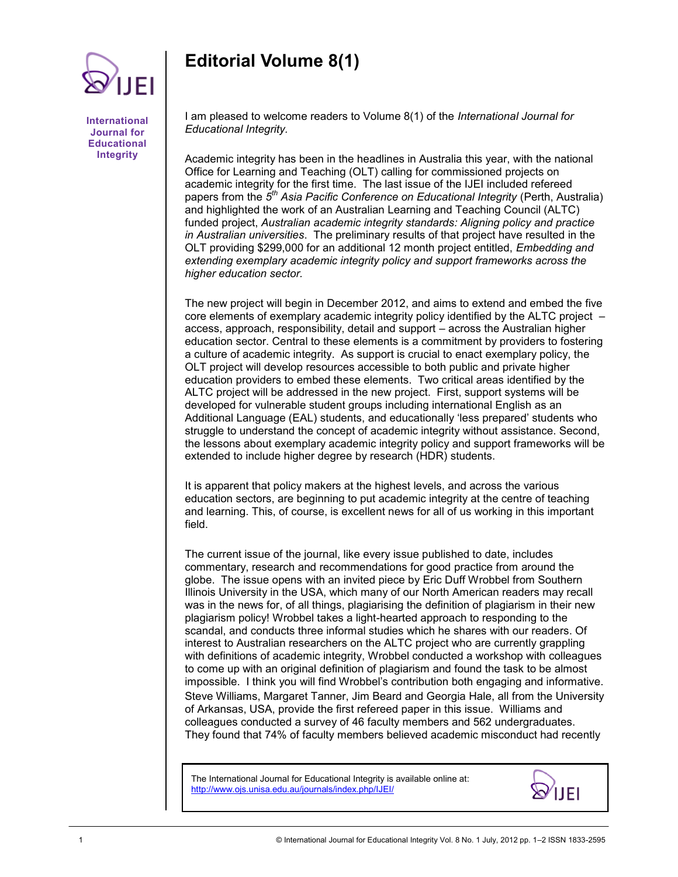## **Editorial Volume 8(1)**

**International Journal for Educational Integrity**

IEI

I am pleased to welcome readers to Volume 8(1) of the *International Journal for Educational Integrity.* 

Academic integrity has been in the headlines in Australia this year, with the national Office for Learning and Teaching (OLT) calling for commissioned projects on academic integrity for the first time. The last issue of the IJEI included refereed papers from the *5 th Asia Pacific Conference on Educational Integrity* (Perth, Australia) and highlighted the work of an Australian Learning and Teaching Council (ALTC) funded project, *Australian academic integrity standards: Aligning policy and practice in Australian universities*. The preliminary results of that project have resulted in the OLT providing \$299,000 for an additional 12 month project entitled, *Embedding and extending exemplary academic integrity policy and support frameworks across the higher education sector.*

The new project will begin in December 2012, and aims to extend and embed the five core elements of exemplary academic integrity policy identified by the ALTC project – access, approach, responsibility, detail and support – across the Australian higher education sector. Central to these elements is a commitment by providers to fostering a culture of academic integrity. As support is crucial to enact exemplary policy, the OLT project will develop resources accessible to both public and private higher education providers to embed these elements. Two critical areas identified by the ALTC project will be addressed in the new project. First, support systems will be developed for vulnerable student groups including international English as an Additional Language (EAL) students, and educationally 'less prepared' students who struggle to understand the concept of academic integrity without assistance. Second, the lessons about exemplary academic integrity policy and support frameworks will be extended to include higher degree by research (HDR) students.

It is apparent that policy makers at the highest levels, and across the various education sectors, are beginning to put academic integrity at the centre of teaching and learning. This, of course, is excellent news for all of us working in this important field.

The current issue of the journal, like every issue published to date, includes commentary, research and recommendations for good practice from around the globe. The issue opens with an invited piece by Eric Duff Wrobbel from Southern Illinois University in the USA, which many of our North American readers may recall was in the news for, of all things, plagiarising the definition of plagiarism in their new plagiarism policy! Wrobbel takes a light-hearted approach to responding to the scandal, and conducts three informal studies which he shares with our readers. Of interest to Australian researchers on the ALTC project who are currently grappling with definitions of academic integrity, Wrobbel conducted a workshop with colleagues to come up with an original definition of plagiarism and found the task to be almost impossible. I think you will find Wrobbel's contribution both engaging and informative. Steve Williams, Margaret Tanner, Jim Beard and Georgia Hale, all from the University of Arkansas, USA, provide the first refereed paper in this issue. Williams and colleagues conducted a survey of 46 faculty members and 562 undergraduates. They found that 74% of faculty members believed academic misconduct had recently

The International Journal for Educational Integrity is available online at: http://www.ojs.unisa.edu.au/journals/index.php/IJEI/